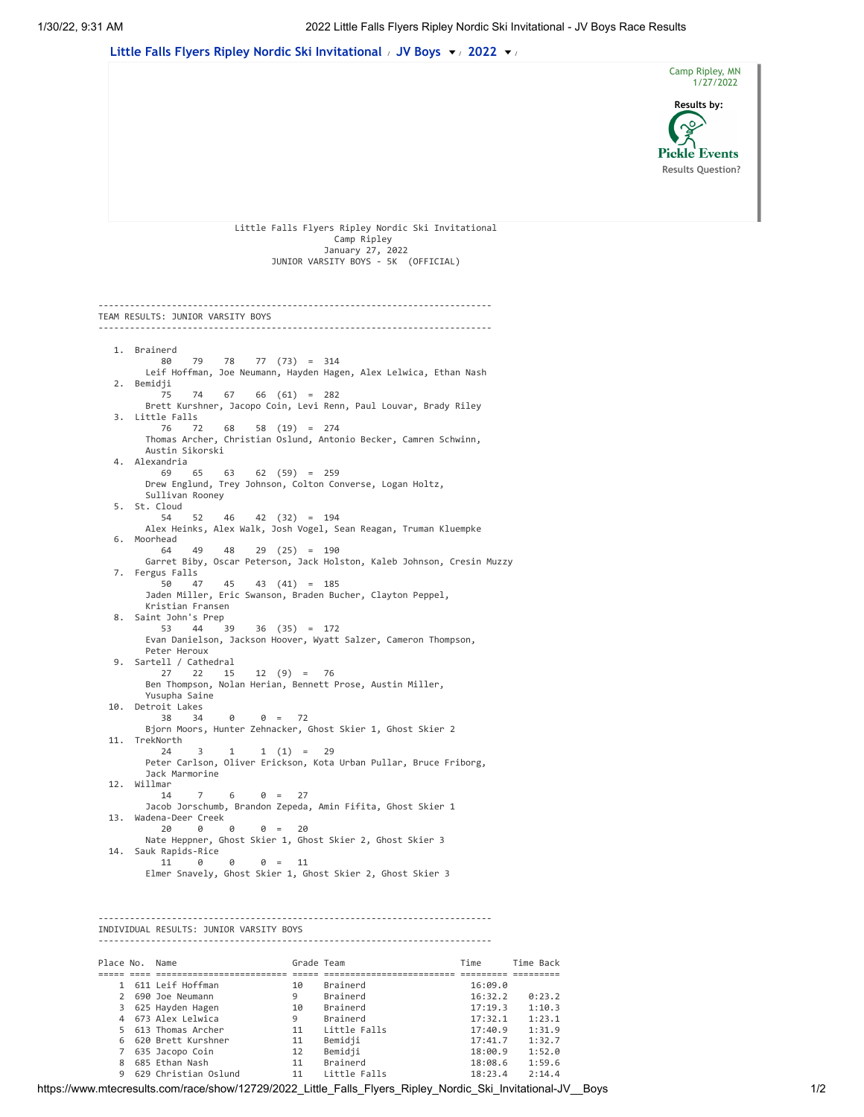